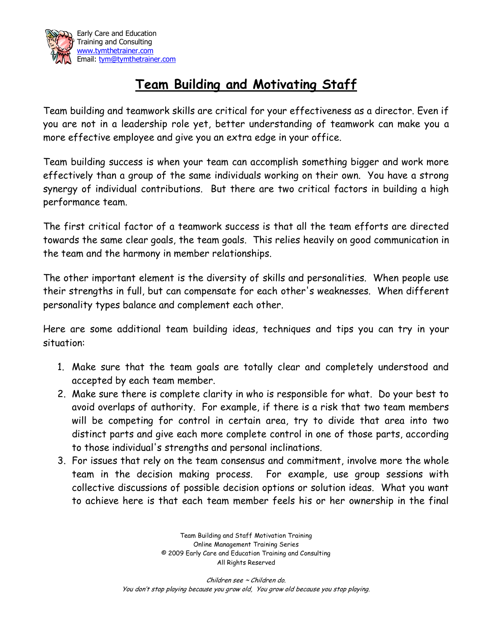

## **Team Building and Motivating Staff**

Team building and teamwork skills are critical for your effectiveness as a director. Even if you are not in a leadership role yet, better understanding of teamwork can make you a more effective employee and give you an extra edge in your office.

Team building success is when your team can accomplish something bigger and work more effectively than a group of the same individuals working on their own. You have a strong synergy of individual contributions. But there are two critical factors in building a high performance team.

The first critical factor of a teamwork success is that all the team efforts are directed towards the same clear goals, the team goals. This relies heavily on good communication in the team and the harmony in member relationships.

The other important element is the diversity of skills and personalities. When people use their strengths in full, but can compensate for each other's weaknesses. When different personality types balance and complement each other.

Here are some additional team building ideas, techniques and tips you can try in your situation:

- 1. Make sure that the team goals are totally clear and completely understood and accepted by each team member.
- 2. Make sure there is complete clarity in who is responsible for what. Do your best to avoid overlaps of authority. For example, if there is a risk that two team members will be competing for control in certain area, try to divide that area into two distinct parts and give each more complete control in one of those parts, according to those individual's strengths and personal inclinations.
- 3. For issues that rely on the team consensus and commitment, involve more the whole team in the decision making process. For example, use group sessions with collective discussions of possible decision options or solution ideas. What you want to achieve here is that each team member feels his or her ownership in the final

Team Building and Staff Motivation Training Online Management Training Series © 2009 Early Care and Education Training and Consulting All Rights Reserved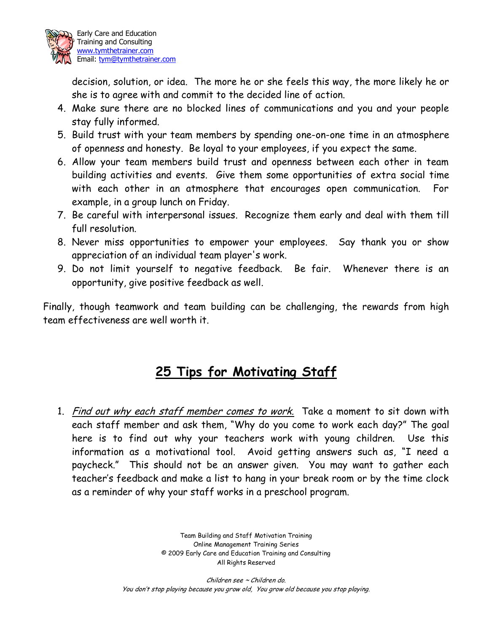

decision, solution, or idea. The more he or she feels this way, the more likely he or she is to agree with and commit to the decided line of action.

- 4. Make sure there are no blocked lines of communications and you and your people stay fully informed.
- 5. Build trust with your team members by spending one-on-one time in an atmosphere of openness and honesty. Be loyal to your employees, if you expect the same.
- 6. Allow your team members build trust and openness between each other in team building activities and events. Give them some opportunities of extra social time with each other in an atmosphere that encourages open communication. For example, in a group lunch on Friday.
- 7. Be careful with interpersonal issues. Recognize them early and deal with them till full resolution.
- 8. Never miss opportunities to empower your employees. Say thank you or show appreciation of an individual team player's work.
- 9. Do not limit yourself to negative feedback. Be fair. Whenever there is an opportunity, give positive feedback as well.

Finally, though teamwork and team building can be challenging, the rewards from high team effectiveness are well worth it.

## **25 Tips for Motivating Staff**

1. Find out why each staff member comes to work. Take a moment to sit down with each staff member and ask them, "Why do you come to work each day?" The goal here is to find out why your teachers work with young children. Use this information as a motivational tool. Avoid getting answers such as, "I need a paycheck." This should not be an answer given. You may want to gather each teacher's feedback and make a list to hang in your break room or by the time clock as a reminder of why your staff works in a preschool program.

> Team Building and Staff Motivation Training Online Management Training Series © 2009 Early Care and Education Training and Consulting All Rights Reserved

Children see ~ Children do. You don't stop playing because you grow old, You grow old because you stop playing.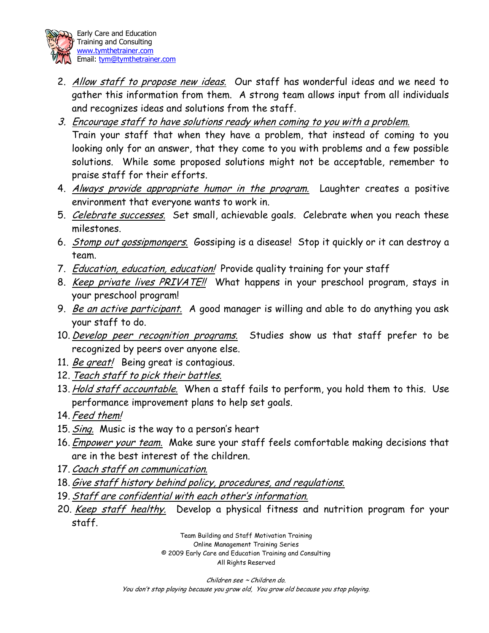

- 2. Allow staff to propose new ideas. Our staff has wonderful ideas and we need to gather this information from them. A strong team allows input from all individuals and recognizes ideas and solutions from the staff.
- 3. Encourage staff to have solutions ready when coming to you with a problem. Train your staff that when they have a problem, that instead of coming to you looking only for an answer, that they come to you with problems and a few possible solutions. While some proposed solutions might not be acceptable, remember to praise staff for their efforts.
- 4. Always provide appropriate humor in the program. Laughter creates a positive environment that everyone wants to work in.
- 5. Celebrate successes. Set small, achievable goals. Celebrate when you reach these milestones.
- 6. Stomp out gossipmongers. Gossiping is a disease! Stop it quickly or it can destroy a team.
- 7. Education, education, education! Provide quality training for your staff
- 8. Keep private lives PRIVATE!! What happens in your preschool program, stays in your preschool program!
- 9. Be an active participant. A good manager is willing and able to do anything you ask your staff to do.
- 10. Develop peer recognition programs. Studies show us that staff prefer to be recognized by peers over anyone else.
- 11. Be great! Being great is contagious.
- 12. Teach staff to pick their battles.
- 13. Hold staff accountable. When a staff fails to perform, you hold them to this. Use performance improvement plans to help set goals.
- 14. Feed them!
- 15. Sing. Music is the way to a person's heart
- 16. Empower your team. Make sure your staff feels comfortable making decisions that are in the best interest of the children.
- 17. Coach staff on communication.
- 18.Give staff history behind policy, procedures, and regulations.
- 19.Staff are confidential with each other's information.
- 20. Keep staff healthy. Develop a physical fitness and nutrition program for your staff.

Team Building and Staff Motivation Training Online Management Training Series © 2009 Early Care and Education Training and Consulting All Rights Reserved

Children see ~ Children do. You don't stop playing because you grow old, You grow old because you stop playing.